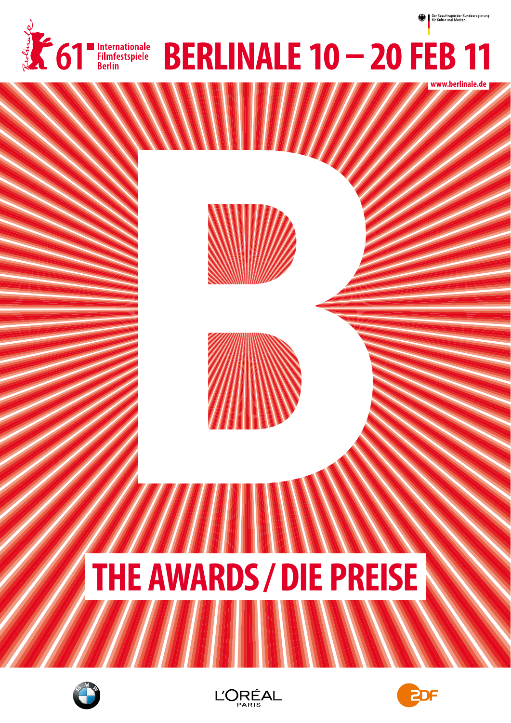

**www.berlinale.de**









# **THE AWARDS / DIE PREISE**





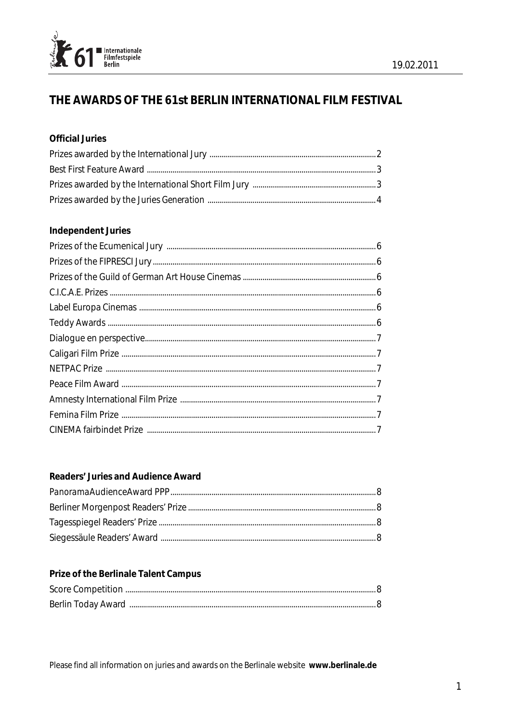

# THE AWARDS OF THE 61st BERLIN INTERNATIONAL FILM FESTIVAL

# **Official Juries**

# **Independent Juries**

# Readers' Juries and Audience Award

# Prize of the Berlinale Talent Campus

Please find all information on juries and awards on the Berlinale website www.berlinale.de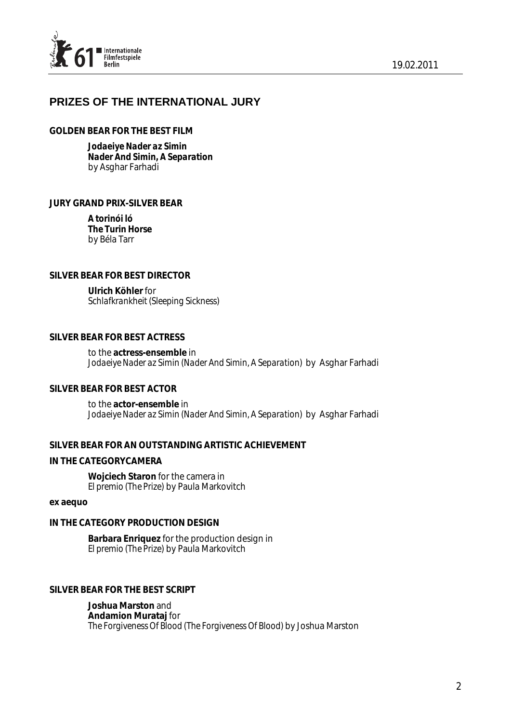

# **PRIZES OF THE INTERNATIONAL JURY**

#### *GOLDEN BEAR FOR THE BEST FILM*

*Jodaeiye Nader az Simin Nader And Simin, A Separation*  by Asghar Farhadi

## *JURY GRAND PRIX-SILVER BEAR*

*A torinói ló The Turin Horse*  by Béla Tarr

#### *SILVER BEAR FOR BEST DIRECTOR*

*Ulrich Köhler* for *Schlafkrankheit (Sleeping Sickness)*

## *SILVER BEAR FOR BEST ACTRESS*

to the *actress-ensemble* in *Jodaeiye Nader az Simin (Nader And Simin, A Separation)* by Asghar Farhadi

## *SILVER BEAR FOR BEST ACTOR*

to the *actor-ensemble* in *Jodaeiye Nader az Simin (Nader And Simin, A Separation)* by Asghar Farhadi

#### *SILVER BEAR FOR AN OUTSTANDING ARTISTIC ACHIEVEMENT*

#### *IN THE CATEGORYCAMERA*

*Wojciech Staron* for the camera in *El premio (The Prize)* by Paula Markovitch

#### *ex aequo*

## *IN THE CATEGORY PRODUCTION DESIGN*

*Barbara Enriquez* for the production design in *El premio (The Prize)* by Paula Markovitch

#### *SILVER BEAR FOR THE BEST SCRIPT*

*Joshua Marston* and *Andamion Murataj* for *The Forgiveness Of Blood (The Forgiveness Of Blood)* by Joshua Marston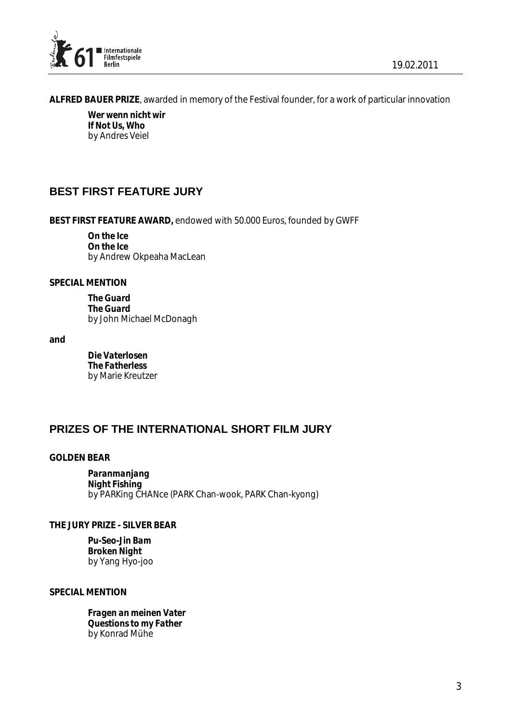

 *ALFRED BAUER PRIZE*, awarded in memory of the Festival founder, for a work of particular innovation

*Wer wenn nicht wir If Not Us, Who*  by Andres Veiel

# **BEST FIRST FEATURE JURY**

*BEST FIRST FEATURE AWARD,* endowed with 50.000 Euros, founded by GWFF

*On the Ice On the Ice*  by Andrew Okpeaha MacLean

*SPECIAL MENTION*

*The Guard The Guard*  by John Michael McDonagh

*and*

*Die Vaterlosen The Fatherless*  by Marie Kreutzer

# **PRIZES OF THE INTERNATIONAL SHORT FILM JURY**

# *GOLDEN BEAR*

*Paranmanjang Night Fishing*  by PARKing CHANce (PARK Chan-wook, PARK Chan-kyong)

*THE JURY PRIZE - SILVER BEAR* 

*Pu-Seo-Jin Bam Broken Night*  by Yang Hyo-joo

*SPECIAL MENTION* 

*Fragen an meinen Vater Questions to my Father*  by Konrad Mühe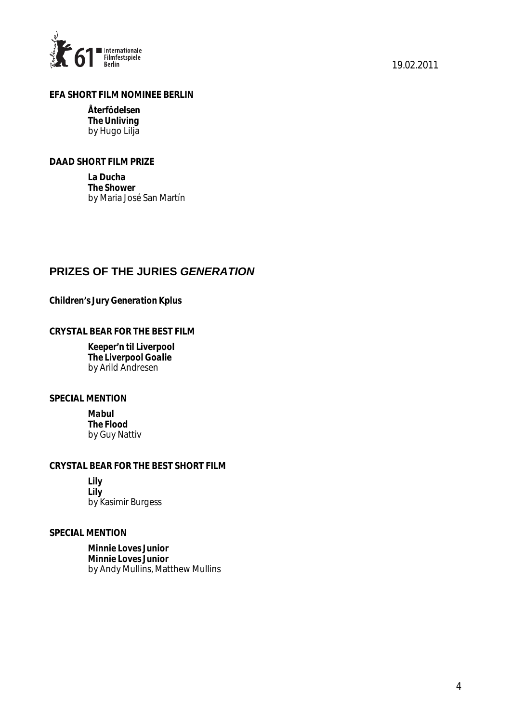

# *EFA SHORT FILM NOMINEE BERLIN*

*Återfödelsen The Unliving*  by Hugo Lilja

## *DAAD SHORT FILM PRIZE*

*La Ducha The Shower*  by Maria José San Martín

# **PRIZES OF THE JURIES** *GENERATION*

# *Children's Jury Generation Kplus*

#### *CRYSTAL BEAR FOR THE BEST FILM*

*Keeper'n til Liverpool The Liverpool Goalie*  by Arild Andresen

#### *SPECIAL MENTION*

*Mabul The Flood*  by Guy Nattiv

# *CRYSTAL BEAR FOR THE BEST SHORT FILM*

*Lily Lily*  by Kasimir Burgess

#### *SPECIAL MENTION*

*Minnie Loves Junior Minnie Loves Junior*  by Andy Mullins, Matthew Mullins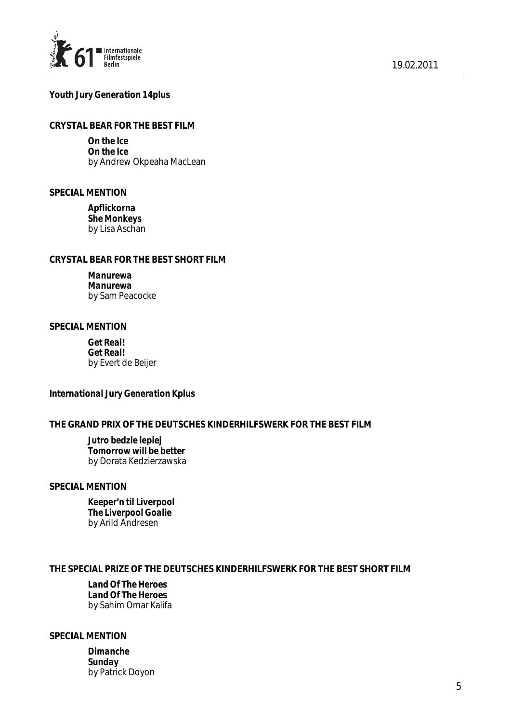

#### *Youth Jury Generation 14plus*

## *CRYSTAL BEAR FOR THE BEST FILM*

*On the Ice On the Ice*  by Andrew Okpeaha MacLean

#### *SPECIAL MENTION*

*Apflickorna She Monkeys*  by Lisa Aschan

## *CRYSTAL BEAR FOR THE BEST SHORT FILM*

*Manurewa Manurewa*  by Sam Peacocke

#### *SPECIAL MENTION*

*Get Real! Get Real!*  by Evert de Beijer

#### *International Jury Generation Kplus*

## *THE GRAND PRIX OF THE DEUTSCHES KINDERHILFSWERK FOR THE BEST FILM*

*Jutro bedzie lepiej Tomorrow will be better*  by Dorata Kedzierzawska

#### *SPECIAL MENTION*

*Keeper'n til Liverpool The Liverpool Goalie*  by Arild Andresen

## *THE SPECIAL PRIZE OF THE DEUTSCHES KINDERHILFSWERK FOR THE BEST SHORT FILM*

*Land Of The Heroes Land Of The Heroes*  by Sahim Omar Kalifa

#### *SPECIAL MENTION*

*Dimanche Sunday*  by Patrick Doyon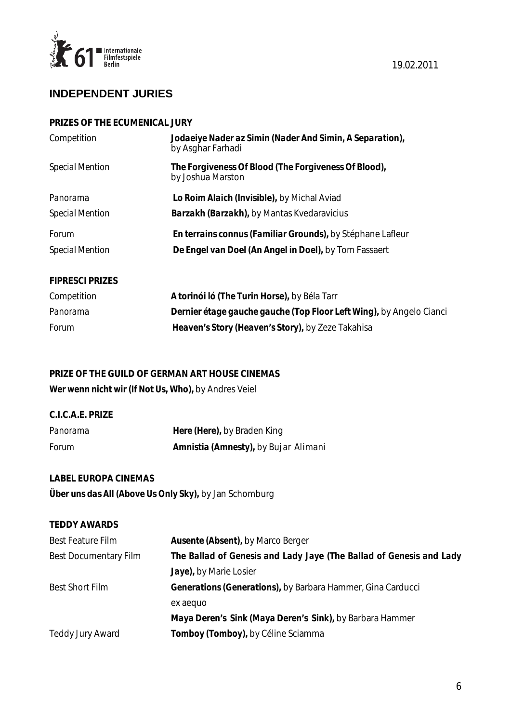

# **INDEPENDENT JURIES**

#### *PRIZES OF THE ECUMENICAL JURY*

| Competition            | Jodaeiye Nader az Simin (Nader And Simin, A Separation),<br>by Asghar Farhadi |  |
|------------------------|-------------------------------------------------------------------------------|--|
| <b>Special Mention</b> | The Forgiveness Of Blood (The Forgiveness Of Blood),<br>by Joshua Marston     |  |
| Panorama               | Lo Roim Alaich (Invisible), by Michal Aviad                                   |  |
| <b>Special Mention</b> | <b>Barzakh (Barzakh)</b> , by Mantas Kvedaravicius                            |  |
| <b>Forum</b>           | En terrains connus (Familiar Grounds), by Stéphane Lafleur                    |  |
| <b>Special Mention</b> | De Engel van Doel (An Angel in Doel), by Tom Fassaert                         |  |
| <b>FIPRESCI PRIZES</b> |                                                                               |  |
| Competition            | A torinói ló (The Turin Horse), by Béla Tarr                                  |  |
| Panorama               | Dernier étage gauche gauche (Top Floor Left Wing), by Angelo Cianci           |  |
| Forum                  | Heaven's Story (Heaven's Story), by Zeze Takahisa                             |  |

# *PRIZE OF THE GUILD OF GERMAN ART HOUSE CINEMAS Wer wenn nicht wir (If Not Us, Who),* by Andres Veiel

| C.I.C.A.E. PRIZE |                                      |
|------------------|--------------------------------------|
| Panorama         | Here (Here), by Braden King          |
| <b>Forum</b>     | Amnistia (Amnesty), by Bujar Alimani |

# *LABEL EUROPA CINEMAS Über uns das All (Above Us Only Sky),* by Jan Schomburg

# *TEDDY AWARDS*

| <b>Best Feature Film</b>     | <b>Ausente (Absent)</b> , by Marco Berger                           |
|------------------------------|---------------------------------------------------------------------|
| <b>Best Documentary Film</b> | The Ballad of Genesis and Lady Jaye (The Ballad of Genesis and Lady |
|                              | Jaye), by Marie Losier                                              |
| <b>Best Short Film</b>       | Generations (Generations), by Barbara Hammer, Gina Carducci         |
|                              | ex aequo                                                            |
|                              | Maya Deren's Sink (Maya Deren's Sink), by Barbara Hammer            |
| <b>Teddy Jury Award</b>      | Tomboy (Tomboy), by Céline Sciamma                                  |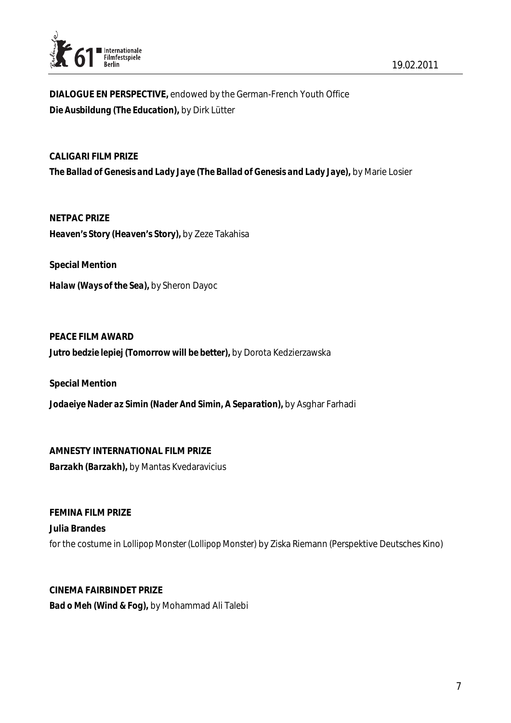![](_page_7_Picture_0.jpeg)

*DIALOGUE EN PERSPECTIVE,* endowed by the German-French Youth Office *Die Ausbildung (The Education),* by Dirk Lütter

*CALIGARI FILM PRIZE The Ballad of Genesis and Lady Jaye (The Ballad of Genesis and Lady Jaye),* by Marie Losier

*NETPAC PRIZE Heaven's Story (Heaven's Story),* by Zeze Takahisa

*Special Mention* 

*Halaw (Ways of the Sea),* by Sheron Dayoc

*PEACE FILM AWARD Jutro bedzie lepiej (Tomorrow will be better),* by Dorota Kedzierzawska

*Special Mention Jodaeiye Nader az Simin (Nader And Simin, A Separation),* by Asghar Farhadi

*AMNESTY INTERNATIONAL FILM PRIZE Barzakh (Barzakh),* by Mantas Kvedaravicius

*FEMINA FILM PRIZE Julia Brandes*  for the costume in *Lollipop Monster (Lollipop Monster)* by Ziska Riemann (Perspektive Deutsches Kino)

*CINEMA FAIRBINDET PRIZE Bad o Meh (Wind & Fog),* by Mohammad Ali Talebi